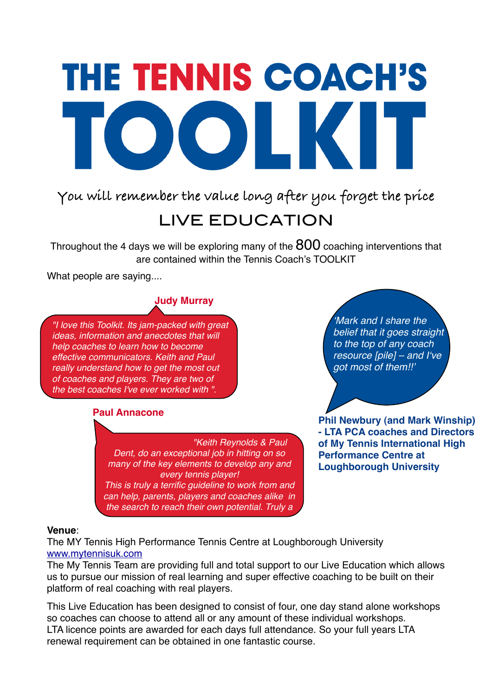# **THE TENNIS COACH'S** OOLKIT

**You will remember the value long after you forget the price**

# LIVE EDUCATION

Throughout the 4 days we will be exploring many of the  $800$  coaching interventions that are contained within the Tennis Coach's TOOLKIT

What people are saying....

## **Judy Murray**

*"I love this Toolkit. Its jam-packed with great ideas, information and anecdotes that will help coaches to learn how to become effective communicators. Keith and Paul really understand how to get the most out of coaches and players. They are two of the best coaches I've ever worked with ".*

### **Paul Annacone**

*"Keith Reynolds & Paul Dent, do an exceptional job in hitting on so many of the key elements to develop any and every tennis player! This is truly a terrific guideline to work from and can help, parents, players and coaches alike in the search to reach their own potential. Truly a* 

ʻ*Mark and I share the belief that it goes straight to the top of any coach resource [pile] – and I*ʻ*ve got most of them!!*'

**Phil Newbury (and Mark Winship) - LTA PCA coaches and Directors of My Tennis International High Performance Centre at Loughborough University**

#### **Venue**:

The MY Tennis High Performance Tennis Centre at Loughborough University [www.mytennisuk.com](http://www.mytennisuk.com)

The My Tennis Team are providing full and total support to our Live Education which allows us to pursue our mission of real learning and super effective coaching to be built on their platform of real coaching with real players.

This Live Education has been designed to consist of four, one day stand alone workshops so coaches can choose to attend all or any amount of these individual workshops. LTA licence points are awarded for each days full attendance. So your full years LTA renewal requirement can be obtained in one fantastic course.